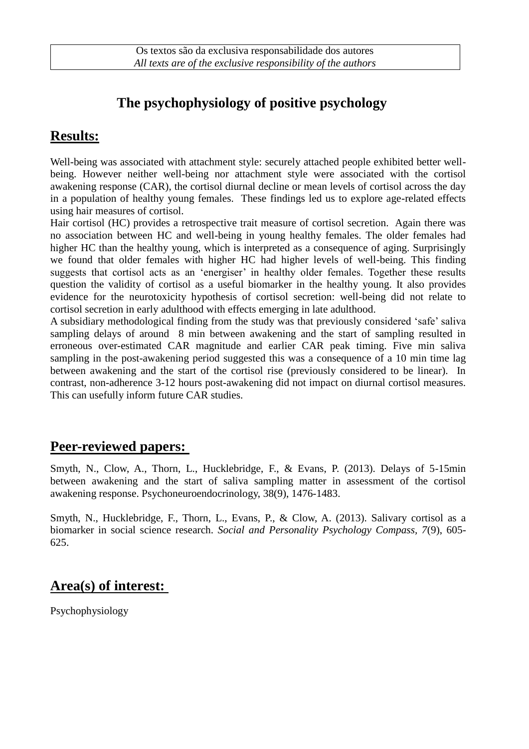# **The psychophysiology of positive psychology**

### **Results:**

Well-being was associated with attachment style: securely attached people exhibited better wellbeing. However neither well-being nor attachment style were associated with the cortisol awakening response (CAR), the cortisol diurnal decline or mean levels of cortisol across the day in a population of healthy young females. These findings led us to explore age-related effects using hair measures of cortisol.

Hair cortisol (HC) provides a retrospective trait measure of cortisol secretion. Again there was no association between HC and well-being in young healthy females. The older females had higher HC than the healthy young, which is interpreted as a consequence of aging. Surprisingly we found that older females with higher HC had higher levels of well-being. This finding suggests that cortisol acts as an 'energiser' in healthy older females. Together these results question the validity of cortisol as a useful biomarker in the healthy young. It also provides evidence for the neurotoxicity hypothesis of cortisol secretion: well-being did not relate to cortisol secretion in early adulthood with effects emerging in late adulthood.

A subsidiary methodological finding from the study was that previously considered 'safe' saliva sampling delays of around 8 min between awakening and the start of sampling resulted in erroneous over-estimated CAR magnitude and earlier CAR peak timing. Five min saliva sampling in the post-awakening period suggested this was a consequence of a 10 min time lag between awakening and the start of the cortisol rise (previously considered to be linear). In contrast, non-adherence 3-12 hours post-awakening did not impact on diurnal cortisol measures. This can usefully inform future CAR studies.

#### **Peer-reviewed papers:**

Smyth, N., Clow, A., Thorn, L., Hucklebridge, F., & Evans, P. (2013). Delays of 5-15min between awakening and the start of saliva sampling matter in assessment of the cortisol awakening response. Psychoneuroendocrinology, 38(9), 1476-1483.

Smyth, N., Hucklebridge, F., Thorn, L., Evans, P., & Clow, A. (2013). Salivary cortisol as a biomarker in social science research. *Social and Personality Psychology Compass, 7*(9), 605- 625.

### **Area(s) of interest:**

Psychophysiology